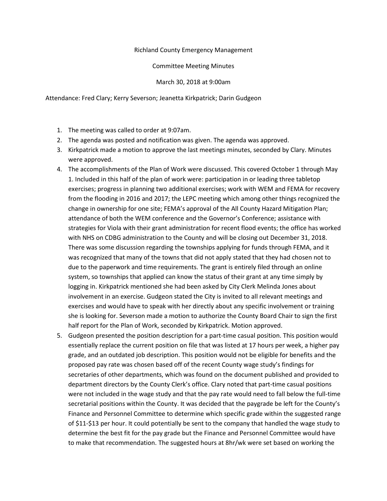## Richland County Emergency Management

Committee Meeting Minutes

March 30, 2018 at 9:00am

Attendance: Fred Clary; Kerry Severson; Jeanetta Kirkpatrick; Darin Gudgeon

- 1. The meeting was called to order at 9:07am.
- 2. The agenda was posted and notification was given. The agenda was approved.
- 3. Kirkpatrick made a motion to approve the last meetings minutes, seconded by Clary. Minutes were approved.
- 4. The accomplishments of the Plan of Work were discussed. This covered October 1 through May 1. Included in this half of the plan of work were: participation in or leading three tabletop exercises; progress in planning two additional exercises; work with WEM and FEMA for recovery from the flooding in 2016 and 2017; the LEPC meeting which among other things recognized the change in ownership for one site; FEMA's approval of the All County Hazard Mitigation Plan; attendance of both the WEM conference and the Governor's Conference; assistance with strategies for Viola with their grant administration for recent flood events; the office has worked with NHS on CDBG administration to the County and will be closing out December 31, 2018. There was some discussion regarding the townships applying for funds through FEMA, and it was recognized that many of the towns that did not apply stated that they had chosen not to due to the paperwork and time requirements. The grant is entirely filed through an online system, so townships that applied can know the status of their grant at any time simply by logging in. Kirkpatrick mentioned she had been asked by City Clerk Melinda Jones about involvement in an exercise. Gudgeon stated the City is invited to all relevant meetings and exercises and would have to speak with her directly about any specific involvement or training she is looking for. Severson made a motion to authorize the County Board Chair to sign the first half report for the Plan of Work, seconded by Kirkpatrick. Motion approved.
- 5. Gudgeon presented the position description for a part-time casual position. This position would essentially replace the current position on file that was listed at 17 hours per week, a higher pay grade, and an outdated job description. This position would not be eligible for benefits and the proposed pay rate was chosen based off of the recent County wage study's findings for secretaries of other departments, which was found on the document published and provided to department directors by the County Clerk's office. Clary noted that part-time casual positions were not included in the wage study and that the pay rate would need to fall below the full-time secretarial positions within the County. It was decided that the paygrade be left for the County's Finance and Personnel Committee to determine which specific grade within the suggested range of \$11-\$13 per hour. It could potentially be sent to the company that handled the wage study to determine the best fit for the pay grade but the Finance and Personnel Committee would have to make that recommendation. The suggested hours at 8hr/wk were set based on working the